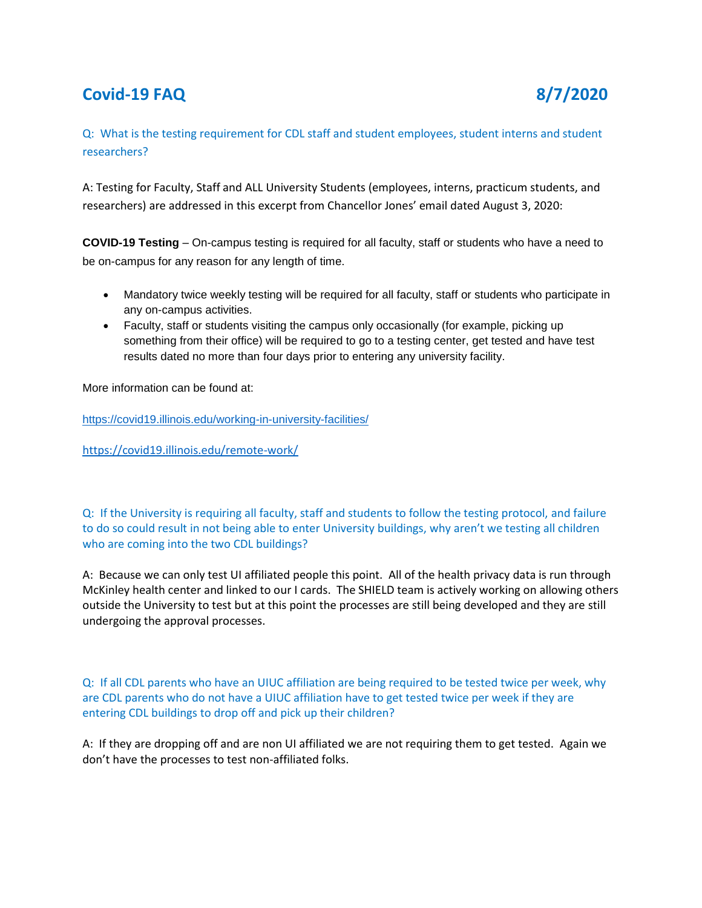# **Covid-19 FAQ 8/7/2020**

Q: What is the testing requirement for CDL staff and student employees, student interns and student researchers?

A: Testing for Faculty, Staff and ALL University Students (employees, interns, practicum students, and researchers) are addressed in this excerpt from Chancellor Jones' email dated August 3, 2020:

**COVID-19 Testing** – On-campus testing is required for all faculty, staff or students who have a need to be on-campus for any reason for any length of time.

- Mandatory twice weekly testing will be required for all faculty, staff or students who participate in any on-campus activities.
- Faculty, staff or students visiting the campus only occasionally (for example, picking up something from their office) will be required to go to a testing center, get tested and have test results dated no more than four days prior to entering any university facility.

More information can be found at:

<https://covid19.illinois.edu/working-in-university-facilities/>

<https://covid19.illinois.edu/remote-work/>

Q: If the University is requiring all faculty, staff and students to follow the testing protocol, and failure to do so could result in not being able to enter University buildings, why aren't we testing all children who are coming into the two CDL buildings?

A: Because we can only test UI affiliated people this point. All of the health privacy data is run through McKinley health center and linked to our I cards. The SHIELD team is actively working on allowing others outside the University to test but at this point the processes are still being developed and they are still undergoing the approval processes.

Q: If all CDL parents who have an UIUC affiliation are being required to be tested twice per week, why are CDL parents who do not have a UIUC affiliation have to get tested twice per week if they are entering CDL buildings to drop off and pick up their children?

A: If they are dropping off and are non UI affiliated we are not requiring them to get tested. Again we don't have the processes to test non-affiliated folks.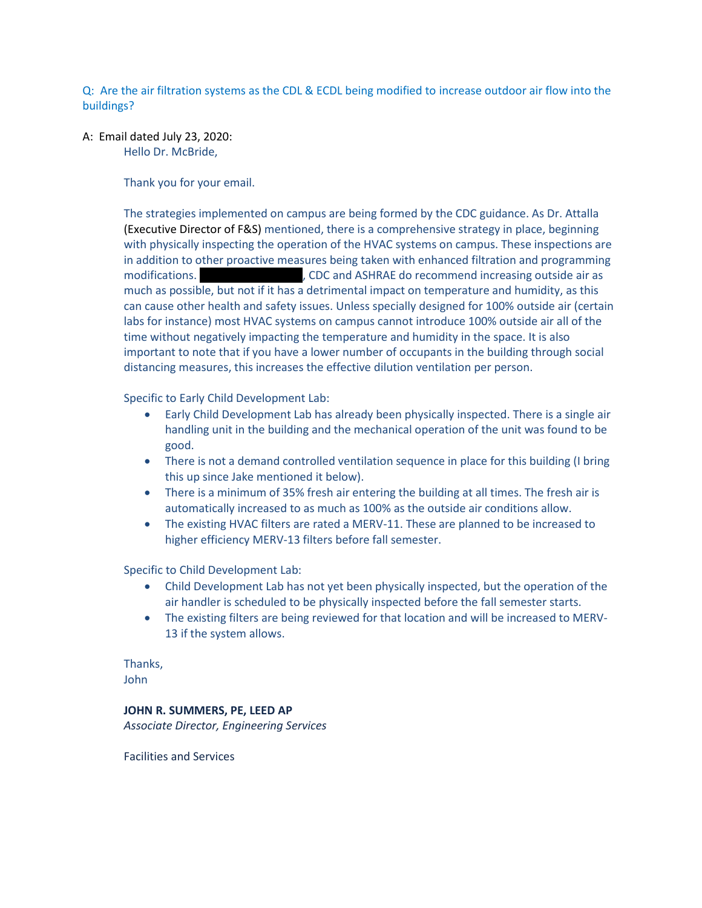Q: Are the air filtration systems as the CDL & ECDL being modified to increase outdoor air flow into the buildings?

A: Email dated July 23, 2020: Hello Dr. McBride,

Thank you for your email.

The strategies implemented on campus are being formed by the CDC guidance. As Dr. Attalla (Executive Director of F&S) mentioned, there is a comprehensive strategy in place, beginning with physically inspecting the operation of the HVAC systems on campus. These inspections are in addition to other proactive measures being taken with enhanced filtration and programming modifications. As  $\sim$  Jake notice and ASHRAE do recommend increasing outside air as much as possible, but not if it has a detrimental impact on temperature and humidity, as this can cause other health and safety issues. Unless specially designed for 100% outside air (certain labs for instance) most HVAC systems on campus cannot introduce 100% outside air all of the time without negatively impacting the temperature and humidity in the space. It is also important to note that if you have a lower number of occupants in the building through social distancing measures, this increases the effective dilution ventilation per person.

Specific to Early Child Development Lab:

- Early Child Development Lab has already been physically inspected. There is a single air handling unit in the building and the mechanical operation of the unit was found to be good.
- There is not a demand controlled ventilation sequence in place for this building (I bring this up since Jake mentioned it below).
- There is a minimum of 35% fresh air entering the building at all times. The fresh air is automatically increased to as much as 100% as the outside air conditions allow.
- The existing HVAC filters are rated a MERV-11. These are planned to be increased to higher efficiency MERV-13 filters before fall semester.

Specific to Child Development Lab:

- Child Development Lab has not yet been physically inspected, but the operation of the air handler is scheduled to be physically inspected before the fall semester starts.
- The existing filters are being reviewed for that location and will be increased to MERV-13 if the system allows.

Thanks, John

#### **JOHN R. SUMMERS, PE, LEED AP**

*Associate Director, Engineering Services*

Facilities and Services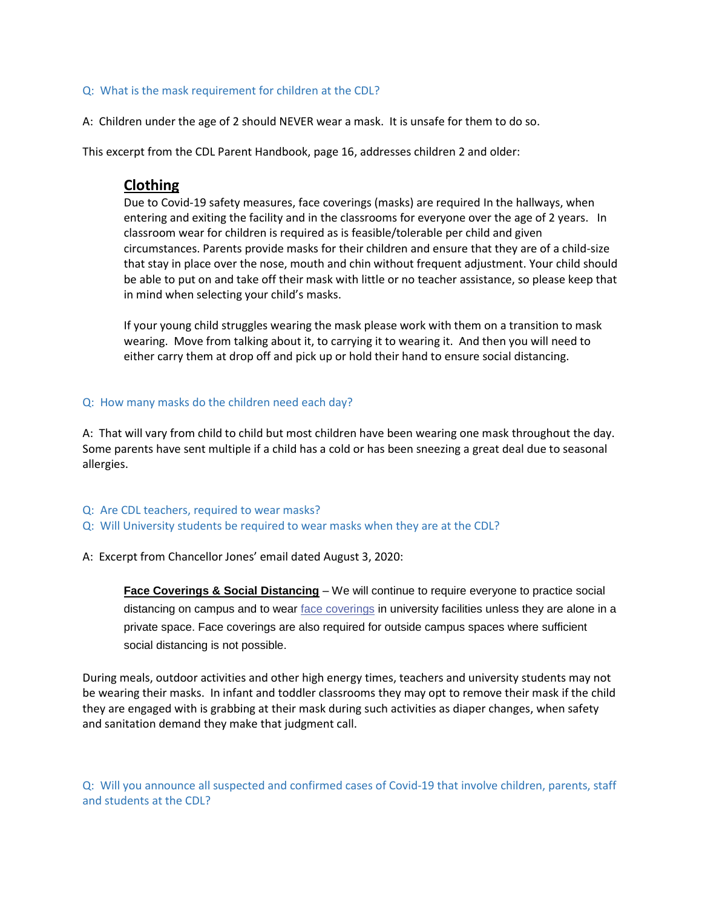#### Q: What is the mask requirement for children at the CDL?

A: Children under the age of 2 should NEVER wear a mask. It is unsafe for them to do so.

This excerpt from the CDL Parent Handbook, page 16, addresses children 2 and older:

# **Clothing**

Due to Covid-19 safety measures, face coverings (masks) are required In the hallways, when entering and exiting the facility and in the classrooms for everyone over the age of 2 years. In classroom wear for children is required as is feasible/tolerable per child and given circumstances. Parents provide masks for their children and ensure that they are of a child-size that stay in place over the nose, mouth and chin without frequent adjustment. Your child should be able to put on and take off their mask with little or no teacher assistance, so please keep that in mind when selecting your child's masks.

If your young child struggles wearing the mask please work with them on a transition to mask wearing. Move from talking about it, to carrying it to wearing it. And then you will need to either carry them at drop off and pick up or hold their hand to ensure social distancing.

#### Q: How many masks do the children need each day?

A: That will vary from child to child but most children have been wearing one mask throughout the day. Some parents have sent multiple if a child has a cold or has been sneezing a great deal due to seasonal allergies.

- Q: Are CDL teachers, required to wear masks?
- Q: Will University students be required to wear masks when they are at the CDL?
- A: Excerpt from Chancellor Jones' email dated August 3, 2020:

**[Face Coverings](http://links.illinois.edu/f/a/qIjpgGUL4gNW5y-Nn2S6wQ~~/AAMFlAA~/RgRhCp03P0QsaHR0cHM6Ly9jb3ZpZDE5LmlsbGlub2lzLmVkdS9mYWNlLWNvdmVyaW5ncy9XA3NwY0IKACM3GChfV1u6aVIVbHlubmJlbGxAaWxsaW5vaXMuZWR1WAQAAAAE) & Social Distancing** – We will continue to require everyone to practice social distancing on campus and to wear [face coverings](http://links.illinois.edu/f/a/qIjpgGUL4gNW5y-Nn2S6wQ~~/AAMFlAA~/RgRhCp03P0QsaHR0cHM6Ly9jb3ZpZDE5LmlsbGlub2lzLmVkdS9mYWNlLWNvdmVyaW5ncy9XA3NwY0IKACM3GChfV1u6aVIVbHlubmJlbGxAaWxsaW5vaXMuZWR1WAQAAAAE) in university facilities unless they are alone in a private space. Face coverings are also required for outside campus spaces where sufficient social distancing is not possible.

During meals, outdoor activities and other high energy times, teachers and university students may not be wearing their masks. In infant and toddler classrooms they may opt to remove their mask if the child they are engaged with is grabbing at their mask during such activities as diaper changes, when safety and sanitation demand they make that judgment call.

Q: Will you announce all suspected and confirmed cases of Covid-19 that involve children, parents, staff and students at the CDL?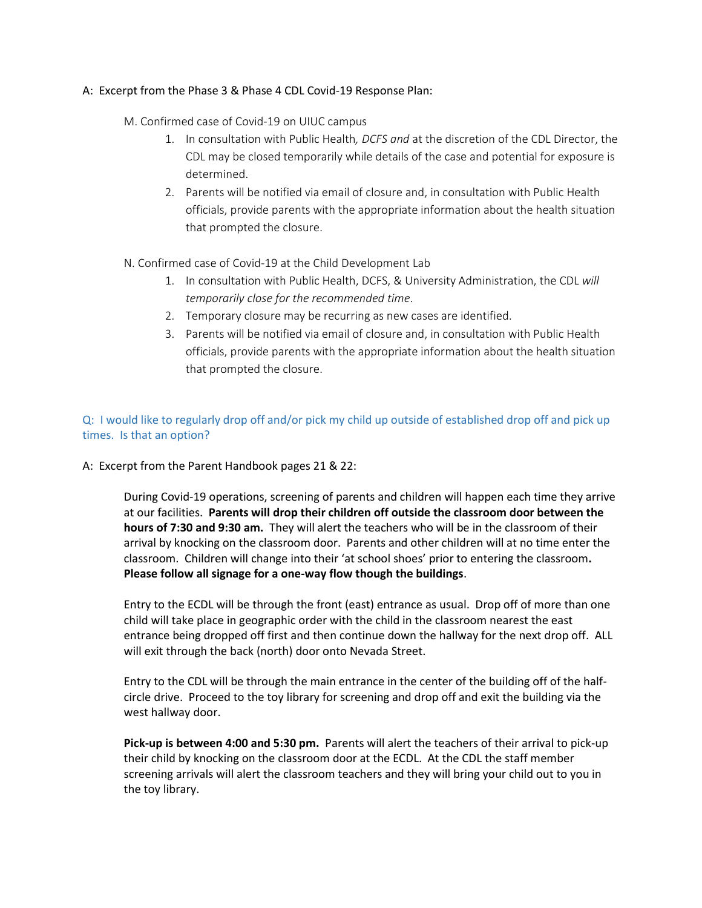## A: Excerpt from the Phase 3 & Phase 4 CDL Covid-19 Response Plan:

- M. Confirmed case of Covid-19 on UIUC campus
	- 1. In consultation with Public Health*, DCFS and* at the discretion of the CDL Director, the CDL may be closed temporarily while details of the case and potential for exposure is determined.
	- 2. Parents will be notified via email of closure and, in consultation with Public Health officials, provide parents with the appropriate information about the health situation that prompted the closure.
- N. Confirmed case of Covid-19 at the Child Development Lab
	- 1. In consultation with Public Health, DCFS, & University Administration, the CDL *will temporarily close for the recommended time*.
	- 2. Temporary closure may be recurring as new cases are identified.
	- 3. Parents will be notified via email of closure and, in consultation with Public Health officials, provide parents with the appropriate information about the health situation that prompted the closure.

## Q: I would like to regularly drop off and/or pick my child up outside of established drop off and pick up times. Is that an option?

A: Excerpt from the Parent Handbook pages 21 & 22:

During Covid-19 operations, screening of parents and children will happen each time they arrive at our facilities. **Parents will drop their children off outside the classroom door between the hours of 7:30 and 9:30 am.** They will alert the teachers who will be in the classroom of their arrival by knocking on the classroom door. Parents and other children will at no time enter the classroom. Children will change into their 'at school shoes' prior to entering the classroom**. Please follow all signage for a one-way flow though the buildings**.

Entry to the ECDL will be through the front (east) entrance as usual. Drop off of more than one child will take place in geographic order with the child in the classroom nearest the east entrance being dropped off first and then continue down the hallway for the next drop off. ALL will exit through the back (north) door onto Nevada Street.

Entry to the CDL will be through the main entrance in the center of the building off of the halfcircle drive. Proceed to the toy library for screening and drop off and exit the building via the west hallway door.

**Pick-up is between 4:00 and 5:30 pm.** Parents will alert the teachers of their arrival to pick-up their child by knocking on the classroom door at the ECDL. At the CDL the staff member screening arrivals will alert the classroom teachers and they will bring your child out to you in the toy library.